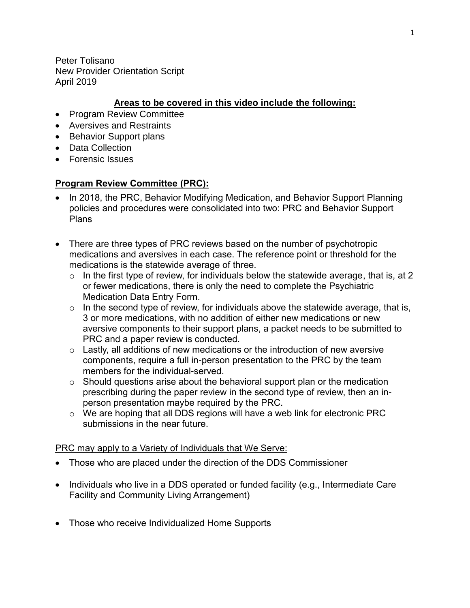Peter Tolisano New Provider Orientation Script April 2019

# **Areas to be covered in this video include the following:**

- Program Review Committee
- Aversives and Restraints
- Behavior Support plans
- Data Collection
- Forensic Issues

# **Program Review Committee (PRC):**

- In 2018, the PRC, Behavior Modifying Medication, and Behavior Support Planning policies and procedures were consolidated into two: PRC and Behavior Support Plans
- There are three types of PRC reviews based on the number of psychotropic medications and aversives in each case. The reference point or threshold for the medications is the statewide average of three.
	- $\circ$  In the first type of review, for individuals below the statewide average, that is, at 2 or fewer medications, there is only the need to complete the Psychiatric Medication Data Entry Form.
	- $\circ$  In the second type of review, for individuals above the statewide average, that is, 3 or more medications, with no addition of either new medications or new aversive components to their support plans, a packet needs to be submitted to PRC and a paper review is conducted.
	- $\circ$  Lastly, all additions of new medications or the introduction of new aversive components, require a full in-person presentation to the PRC by the team members for the individual-served.
	- $\circ$  Should questions arise about the behavioral support plan or the medication prescribing during the paper review in the second type of review, then an inperson presentation maybe required by the PRC.
	- o We are hoping that all DDS regions will have a web link for electronic PRC submissions in the near future.

## PRC may apply to a Variety of Individuals that We Serve:

- Those who are placed under the direction of the DDS Commissioner
- Individuals who live in a DDS operated or funded facility (e.g., Intermediate Care Facility and Community Living Arrangement)
- Those who receive Individualized Home Supports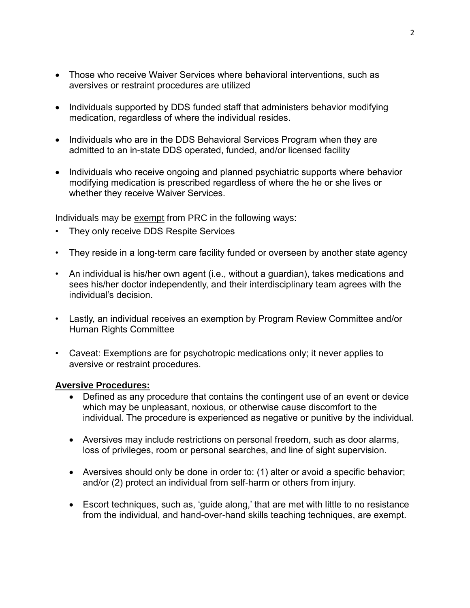- Those who receive Waiver Services where behavioral interventions, such as aversives or restraint procedures are utilized
- Individuals supported by DDS funded staff that administers behavior modifying medication, regardless of where the individual resides.
- Individuals who are in the DDS Behavioral Services Program when they are admitted to an in-state DDS operated, funded, and/or licensed facility
- Individuals who receive ongoing and planned psychiatric supports where behavior modifying medication is prescribed regardless of where the he or she lives or whether they receive Waiver Services.

Individuals may be exempt from PRC in the following ways:

- They only receive DDS Respite Services
- They reside in a long-term care facility funded or overseen by another state agency
- An individual is his/her own agent (i.e., without a guardian), takes medications and sees his/her doctor independently, and their interdisciplinary team agrees with the individual's decision.
- Lastly, an individual receives an exemption by Program Review Committee and/or Human Rights Committee
- Caveat: Exemptions are for psychotropic medications only; it never applies to aversive or restraint procedures.

## **Aversive Procedures:**

- Defined as any procedure that contains the contingent use of an event or device which may be unpleasant, noxious, or otherwise cause discomfort to the individual. The procedure is experienced as negative or punitive by the individual.
- Aversives may include restrictions on personal freedom, such as door alarms, loss of privileges, room or personal searches, and line of sight supervision.
- Aversives should only be done in order to: (1) alter or avoid a specific behavior; and/or (2) protect an individual from self-harm or others from injury.
- Escort techniques, such as, 'guide along,' that are met with little to no resistance from the individual, and hand-over-hand skills teaching techniques, are exempt.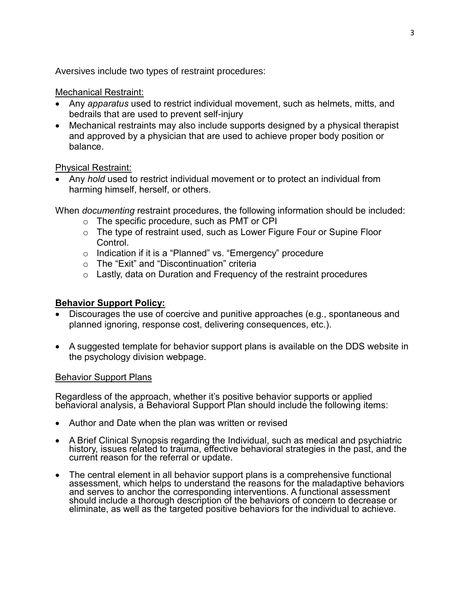Aversives include two types of restraint procedures:

#### Mechanical Restraint:

- Any *apparatus* used to restrict individual movement, such as helmets, mitts, and bedrails that are used to prevent self-injury
- Mechanical restraints may also include supports designed by a physical therapist and approved by a physician that are used to achieve proper body position or balance.

## Physical Restraint:

 Any *hold* used to restrict individual movement or to protect an individual from harming himself, herself, or others.

When *documenting* restraint procedures, the following information should be included:

- o The specific procedure, such as PMT or CPI
- $\circ$  The type of restraint used, such as Lower Figure Four or Supine Floor Control.
- o Indication if it is a "Planned" vs. "Emergency" procedure
- o The "Exit" and "Discontinuation" criteria
- $\circ$  Lastly, data on Duration and Frequency of the restraint procedures

# **Behavior Support Policy:**

- Discourages the use of coercive and punitive approaches (e.g., spontaneous and planned ignoring, response cost, delivering consequences, etc.).
- A suggested template for behavior support plans is available on the DDS website in the psychology division webpage.

## Behavior Support Plans

Regardless of the approach, whether it's positive behavior supports or applied behavioral analysis, a Behavioral Support Plan should include the following items:

- Author and Date when the plan was written or revised
- A Brief Clinical Synopsis regarding the Individual, such as medical and psychiatric history, issues related to trauma, effective behavioral strategies in the past, and the current reason for the referral or update.
- The central element in all behavior support plans is a comprehensive functional assessment, which helps to understand the reasons for the maladaptive behaviors and serves to anchor the corresponding interventions. A functional assessment should include a thorough description of the behaviors of concern to decrease or eliminate, as well as the targeted positive behaviors for the individual to achieve.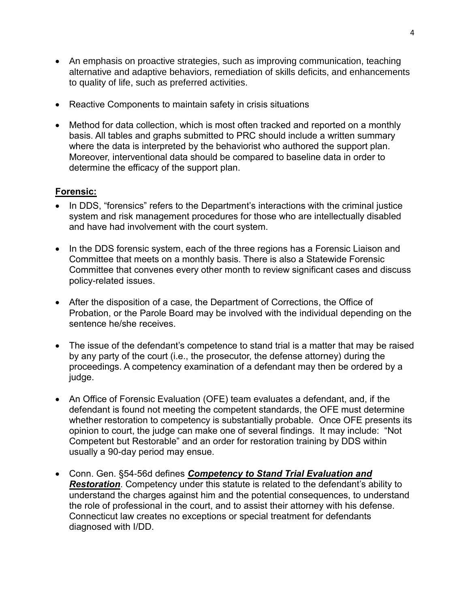- An emphasis on proactive strategies, such as improving communication, teaching alternative and adaptive behaviors, remediation of skills deficits, and enhancements to quality of life, such as preferred activities.
- Reactive Components to maintain safety in crisis situations
- Method for data collection, which is most often tracked and reported on a monthly basis. All tables and graphs submitted to PRC should include a written summary where the data is interpreted by the behaviorist who authored the support plan. Moreover, interventional data should be compared to baseline data in order to determine the efficacy of the support plan.

# **Forensic:**

- In DDS, "forensics" refers to the Department's interactions with the criminal justice system and risk management procedures for those who are intellectually disabled and have had involvement with the court system.
- In the DDS forensic system, each of the three regions has a Forensic Liaison and Committee that meets on a monthly basis. There is also a Statewide Forensic Committee that convenes every other month to review significant cases and discuss policy-related issues.
- After the disposition of a case, the Department of Corrections, the Office of Probation, or the Parole Board may be involved with the individual depending on the sentence he/she receives.
- The issue of the defendant's competence to stand trial is a matter that may be raised by any party of the court (i.e., the prosecutor, the defense attorney) during the proceedings. A competency examination of a defendant may then be ordered by a judge.
- An Office of Forensic Evaluation (OFE) team evaluates a defendant, and, if the defendant is found not meeting the competent standards, the OFE must determine whether restoration to competency is substantially probable. Once OFE presents its opinion to court, the judge can make one of several findings. It may include: "Not Competent but Restorable" and an order for restoration training by DDS within usually a 90-day period may ensue.
- Conn. Gen. §54-56d defines *Competency to Stand Trial Evaluation and Restoration*. Competency under this statute is related to the defendant's ability to understand the charges against him and the potential consequences, to understand the role of professional in the court, and to assist their attorney with his defense. Connecticut law creates no exceptions or special treatment for defendants diagnosed with I/DD.